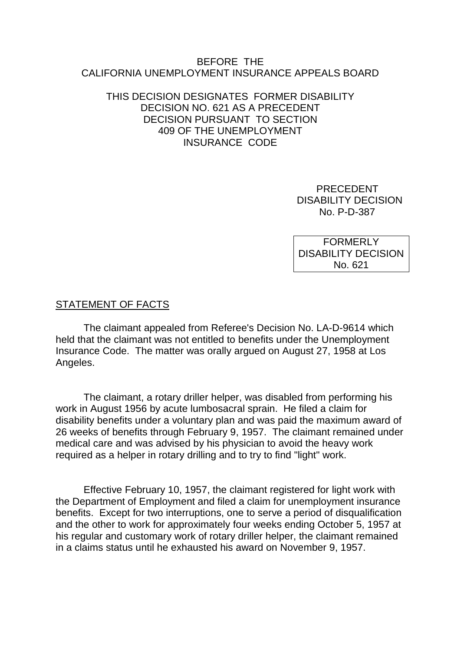#### BEFORE THE CALIFORNIA UNEMPLOYMENT INSURANCE APPEALS BOARD

#### THIS DECISION DESIGNATES FORMER DISABILITY DECISION NO. 621 AS A PRECEDENT DECISION PURSUANT TO SECTION 409 OF THE UNEMPLOYMENT INSURANCE CODE

 PRECEDENT DISABILITY DECISION No. P-D-387

FORMERLY DISABILITY DECISION No. 621

### STATEMENT OF FACTS

The claimant appealed from Referee's Decision No. LA-D-9614 which held that the claimant was not entitled to benefits under the Unemployment Insurance Code. The matter was orally argued on August 27, 1958 at Los Angeles.

The claimant, a rotary driller helper, was disabled from performing his work in August 1956 by acute lumbosacral sprain. He filed a claim for disability benefits under a voluntary plan and was paid the maximum award of 26 weeks of benefits through February 9, 1957. The claimant remained under medical care and was advised by his physician to avoid the heavy work required as a helper in rotary drilling and to try to find "light" work.

Effective February 10, 1957, the claimant registered for light work with the Department of Employment and filed a claim for unemployment insurance benefits. Except for two interruptions, one to serve a period of disqualification and the other to work for approximately four weeks ending October 5, 1957 at his regular and customary work of rotary driller helper, the claimant remained in a claims status until he exhausted his award on November 9, 1957.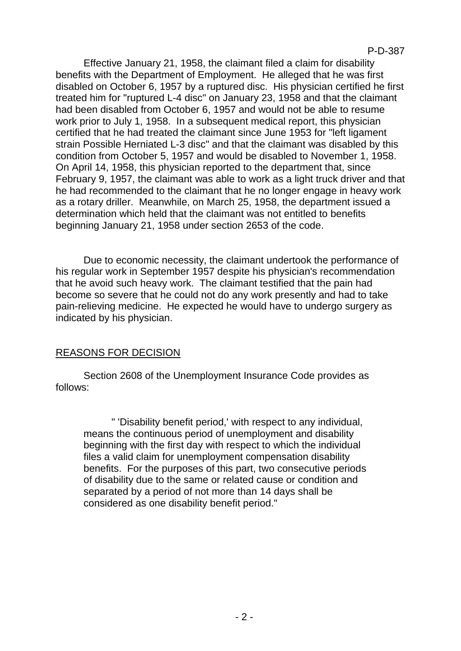Effective January 21, 1958, the claimant filed a claim for disability benefits with the Department of Employment. He alleged that he was first disabled on October 6, 1957 by a ruptured disc. His physician certified he first treated him for "ruptured L-4 disc" on January 23, 1958 and that the claimant had been disabled from October 6, 1957 and would not be able to resume work prior to July 1, 1958. In a subsequent medical report, this physician certified that he had treated the claimant since June 1953 for "left ligament strain Possible Herniated L-3 disc" and that the claimant was disabled by this condition from October 5, 1957 and would be disabled to November 1, 1958. On April 14, 1958, this physician reported to the department that, since February 9, 1957, the claimant was able to work as a light truck driver and that he had recommended to the claimant that he no longer engage in heavy work as a rotary driller. Meanwhile, on March 25, 1958, the department issued a determination which held that the claimant was not entitled to benefits beginning January 21, 1958 under section 2653 of the code.

Due to economic necessity, the claimant undertook the performance of his regular work in September 1957 despite his physician's recommendation that he avoid such heavy work. The claimant testified that the pain had become so severe that he could not do any work presently and had to take pain-relieving medicine. He expected he would have to undergo surgery as indicated by his physician.

## REASONS FOR DECISION

Section 2608 of the Unemployment Insurance Code provides as follows:

" 'Disability benefit period,' with respect to any individual, means the continuous period of unemployment and disability beginning with the first day with respect to which the individual files a valid claim for unemployment compensation disability benefits. For the purposes of this part, two consecutive periods of disability due to the same or related cause or condition and separated by a period of not more than 14 days shall be considered as one disability benefit period."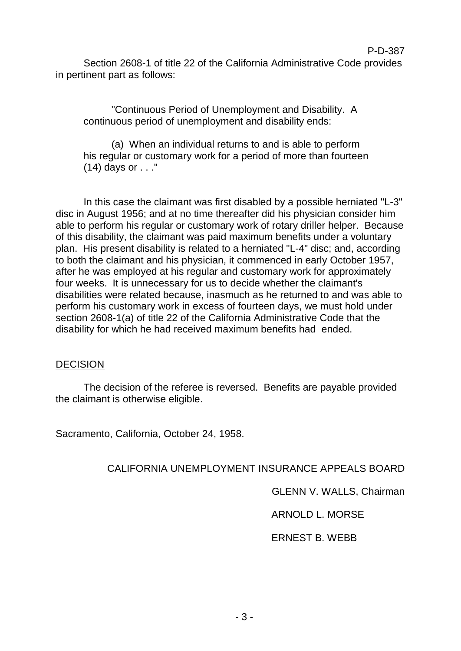Section 2608-1 of title 22 of the California Administrative Code provides in pertinent part as follows:

"Continuous Period of Unemployment and Disability. A continuous period of unemployment and disability ends:

(a) When an individual returns to and is able to perform his regular or customary work for a period of more than fourteen (14) days or . . ."

In this case the claimant was first disabled by a possible herniated "L-3" disc in August 1956; and at no time thereafter did his physician consider him able to perform his regular or customary work of rotary driller helper. Because of this disability, the claimant was paid maximum benefits under a voluntary plan. His present disability is related to a herniated "L-4" disc; and, according to both the claimant and his physician, it commenced in early October 1957, after he was employed at his regular and customary work for approximately four weeks. It is unnecessary for us to decide whether the claimant's disabilities were related because, inasmuch as he returned to and was able to perform his customary work in excess of fourteen days, we must hold under section 2608-1(a) of title 22 of the California Administrative Code that the disability for which he had received maximum benefits had ended.

## **DECISION**

The decision of the referee is reversed. Benefits are payable provided the claimant is otherwise eligible.

Sacramento, California, October 24, 1958.

CALIFORNIA UNEMPLOYMENT INSURANCE APPEALS BOARD

GLENN V. WALLS, Chairman

ARNOLD L. MORSE

ERNEST B. WEBB